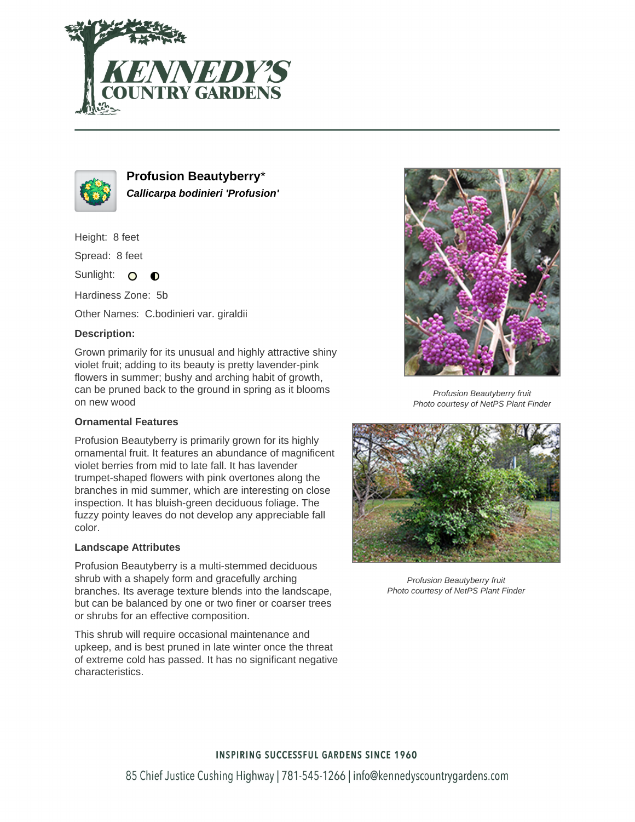



**Profusion Beautyberry**\* **Callicarpa bodinieri 'Profusion'**

Height: 8 feet

Spread: 8 feet

Sunlight: O  $\bullet$ 

Hardiness Zone: 5b

Other Names: C.bodinieri var. giraldii

# **Description:**

Grown primarily for its unusual and highly attractive shiny violet fruit; adding to its beauty is pretty lavender-pink flowers in summer; bushy and arching habit of growth, can be pruned back to the ground in spring as it blooms on new wood

### **Ornamental Features**

Profusion Beautyberry is primarily grown for its highly ornamental fruit. It features an abundance of magnificent violet berries from mid to late fall. It has lavender trumpet-shaped flowers with pink overtones along the branches in mid summer, which are interesting on close inspection. It has bluish-green deciduous foliage. The fuzzy pointy leaves do not develop any appreciable fall color.

### **Landscape Attributes**

Profusion Beautyberry is a multi-stemmed deciduous shrub with a shapely form and gracefully arching branches. Its average texture blends into the landscape, but can be balanced by one or two finer or coarser trees or shrubs for an effective composition.

This shrub will require occasional maintenance and upkeep, and is best pruned in late winter once the threat of extreme cold has passed. It has no significant negative characteristics.



Profusion Beautyberry fruit Photo courtesy of NetPS Plant Finder



Profusion Beautyberry fruit Photo courtesy of NetPS Plant Finder

# **INSPIRING SUCCESSFUL GARDENS SINCE 1960**